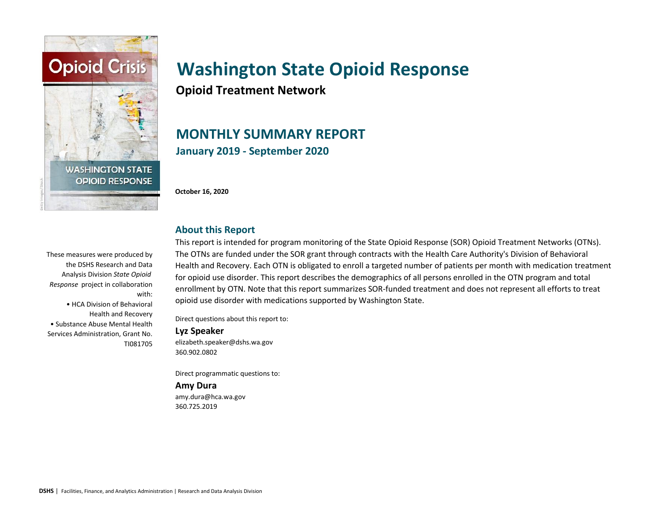

**Opioid Treatment Network**

## **MONTHLY SUMMARY REPORT January 2019 - September 2020**

**October 16, 2020**

# **About this Report**

These measures were produced by the DSHS Research and Data Analysis Division *State Opioid Response* project in collaboration with: • HCA Division of Behavioral Health and Recovery • Substance Abuse Mental Health Services Administration, Grant No. TI081705

This report is intended for program monitoring of the State Opioid Response (SOR) Opioid Treatment Networks (OTNs). The OTNs are funded under the SOR grant through contracts with the Health Care Authority's Division of Behavioral Health and Recovery. Each OTN is obligated to enroll a targeted number of patients per month with medication treatment for opioid use disorder. This report describes the demographics of all persons enrolled in the OTN program and total enrollment by OTN. Note that this report summarizes SOR-funded treatment and does not represent all efforts to treat opioid use disorder with medications supported by Washington State.

Direct questions about this report to:

#### **Lyz Speaker**

elizabeth.speaker@dshs.wa.gov 360.902.0802

Direct programmatic questions to:

#### **Amy Dura**

amy.dura@hca.wa.gov 360.725.2019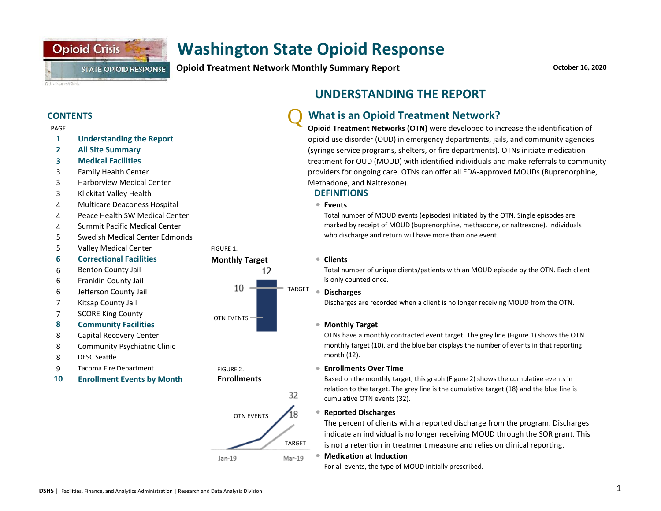**Opioid Treatment Network Monthly Summary Report**

**October 16, 2020**

#### **CONTENTS**

#### PAGE

Getty Images/iStock

**1 Understanding the Report**

**STATE OPIOID RESPONSE** 

**2 All Site Summary**

**Opioid Crisis** 

- **3 Medical Facilities**
- 3 Family Health Center
- 3 Harborview Medical Center
- 3 Klickitat Valley Health
- 4 <sup>l</sup> Multicare Deaconess Hospital
- 4 Peace Health SW Medical Center
- 4 Summit Pacific Medical Center
- 5 Swedish Medical Center Edmonds
- 5 Valley Medical Center
- **6 Correctional Facilities Monthly Target**
- 6 Benton County Jail
- 6 Franklin County Jail
- 
- 7 Kitsap County Jail
- 7 SCORE King County
- **8 Community Facilities 1996 Community Facilities**
- 8 Capital Recovery Center
- 8 Community Psychiatric Clinic
- 8 DESC Seattle
- 9 Tacoma Fire Department **Example 2** FIGURE 2.
- **10 Enrollment Events by Month**



FIGURE 2.

#### **Enrollments**



## **UNDERSTANDING THE REPORT**

#### Q **What is an Opioid Treatment Network?**

**Opioid Treatment Networks (OTN)** were developed to increase the identification of opioid use disorder (OUD) in emergency departments, jails, and community agencies (syringe service programs, shelters, or fire departments). OTNs initiate medication treatment for OUD (MOUD) with identified individuals and make referrals to community providers for ongoing care. OTNs can offer all FDA-approved MOUDs (Buprenorphine, Methadone, and Naltrexone).

#### **DEFINITIONS**

#### **Events**

Total number of MOUD events (episodes) initiated by the OTN. Single episodes are marked by receipt of MOUD (buprenorphine, methadone, or naltrexone). Individuals who discharge and return will have more than one event.

#### **Clients**

Total number of unique clients/patients with an MOUD episode by the OTN. Each client is only counted once.

#### **Discharges**

Discharges are recorded when a client is no longer receiving MOUD from the OTN.

#### **Monthly Target**

OTNs have a monthly contracted event target. The grey line (Figure 1) shows the OTN monthly target (10), and the blue bar displays the number of events in that reporting month (12).

#### **Enrollments Over Time**

Based on the monthly target, this graph (Figure 2) shows the cumulative events in relation to the target. The grey line is the cumulative target (18) and the blue line is cumulative OTN events (32).

#### l **Reported Discharges**

The percent of clients with a reported discharge from the program. Discharges indicate an individual is no longer receiving MOUD through the SOR grant. This is not a retention in treatment measure and relies on clinical reporting.

#### $\bullet$ **Medication at Induction**

For all events, the type of MOUD initially prescribed.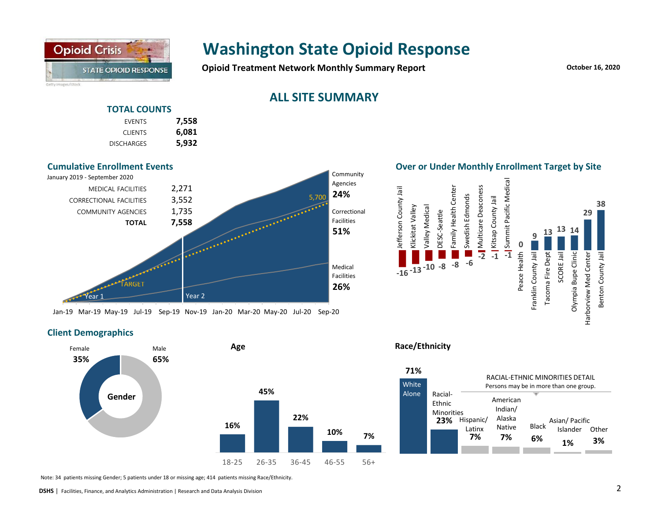

**Opioid Treatment Network Monthly Summary Report CONSCRUPT And Algorithm CONTEX 16, 2020** 

## **ALL SITE SUMMARY**

### **TOTAL COUNTS**

| 7,558 | <b>EVENTS</b>     |
|-------|-------------------|
| 6,081 | <b>CLIENTS</b>    |
| 5,932 | <b>DISCHARGES</b> |



Jan-19 Mar-19 May-19 Jul-19 Sep-19 Nov-19 Jan-20 Mar-20 May-20 Jul-20 Sep-20

#### **Client Demographics**



Note: 34 patients missing Gender; 5 patients under 18 or missing age; 414 patients missing Race/Ethnicity.

**Over or Under Monthly Enrollment Target by Site**



#### **Race/Ethnicity**

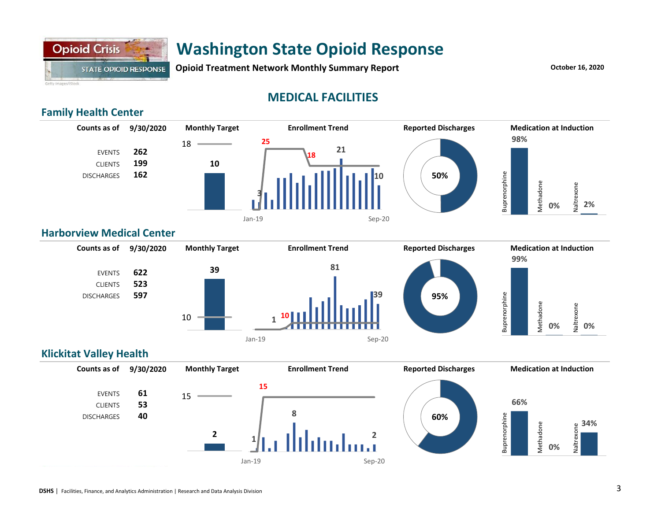

**Opioid Treatment Network Monthly Summary Report CONSERVING MONETH REPORT REPORT** October 16, 2020

## **MEDICAL FACILITIES**

### **Family Health Center**



#### **Harborview Medical Center**



### **Klickitat Valley Health**

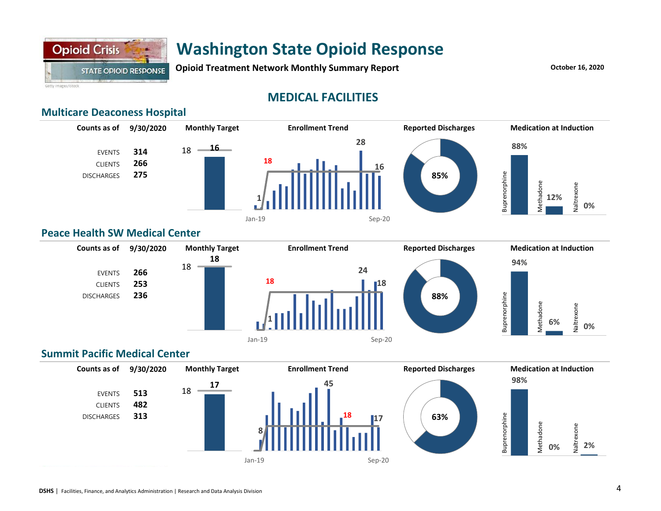

**Opioid Treatment Network Monthly Summary Report CONSERVING MONEY 16, 2020** 

Getty Images/iStock

## **MEDICAL FACILITIES**

### **Multicare Deaconess Hospital**



#### **Peace Health SW Medical Center**



### **Summit Pacific Medical Center**

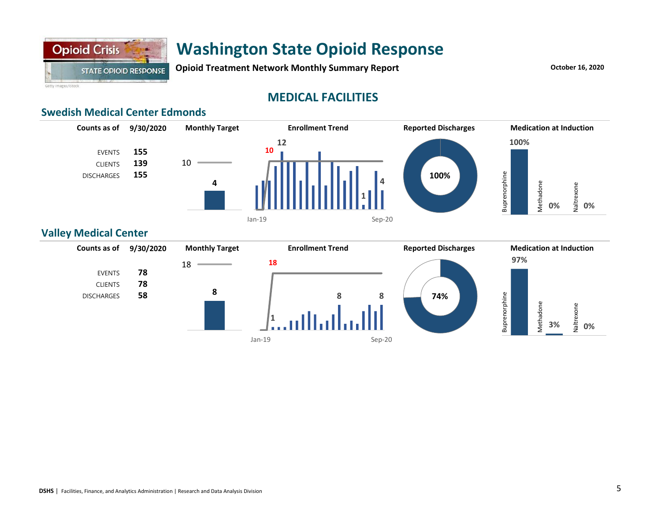

**Opioid Treatment Network Monthly Summary Report CONSERVING MONETH REPORT REPORT** October 16, 2020

Getty Images/iStock

## **MEDICAL FACILITIES**

### **Swedish Medical Center Edmonds**



#### **Valley Medical Center**

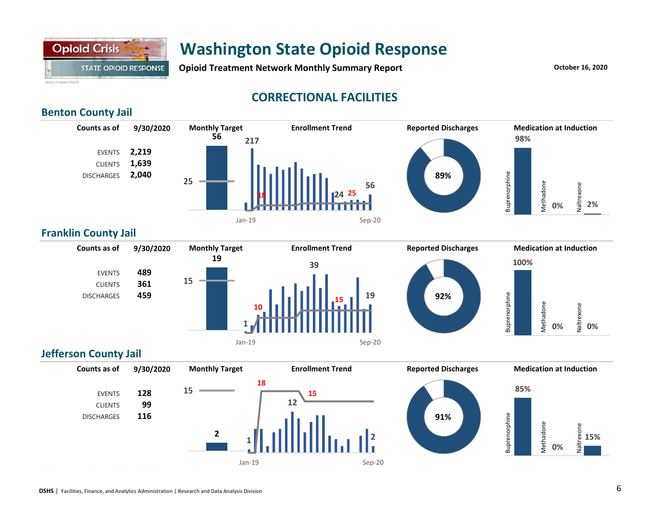

**Opioid Treatment Network Monthly Summary Report CONSERVING MONEY 16, 2020** 

## **CORRECTIONAL FACILITIES**

### **Benton County Jail**



### **Franklin County Jail**



## **Jefferson County Jail**

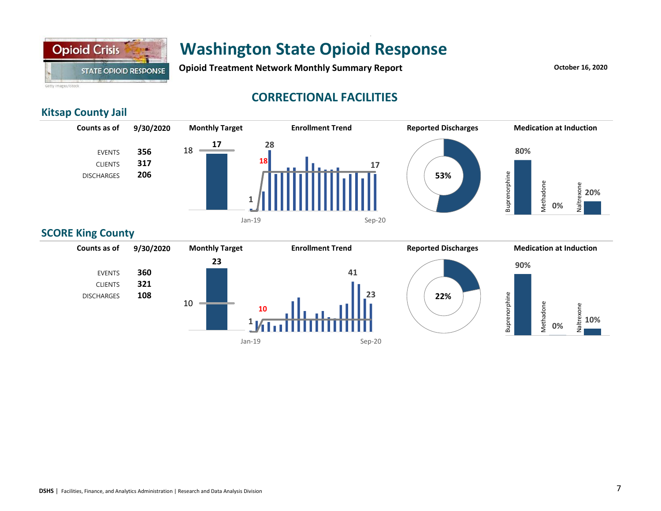

## **Washington State Opioid Response** Jan-19 Sep-20

**Opioid Treatment Network Monthly Summary Report CONSCRUPT 2020 October 16, 2020** 

Getty Images/IStock

## **CORRECTIONAL FACILITIES**

### **Kitsap County Jail**



### **SCORE King County**

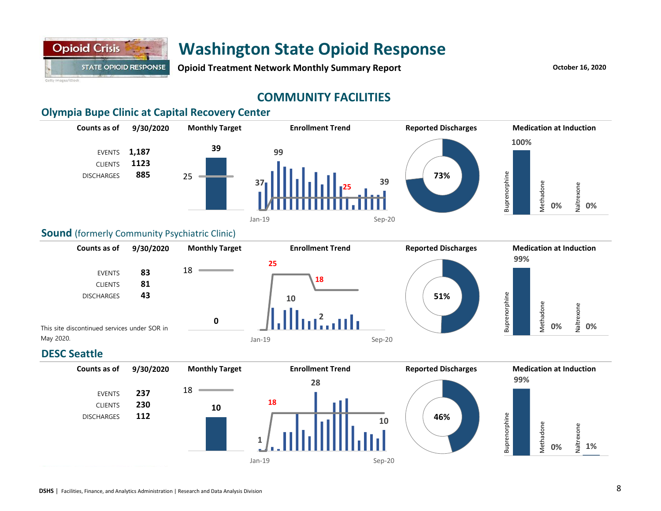

**Opioid Treatment Network Monthly Summary Report CONSCRUPT 2020** *October 16, 2020* 

## **COMMUNITY FACILITIES**

### **Olympia Bupe Clinic at Capital Recovery Center**



#### **Sound** (formerly Community Psychiatric Clinic)



### **DESC Seattle**

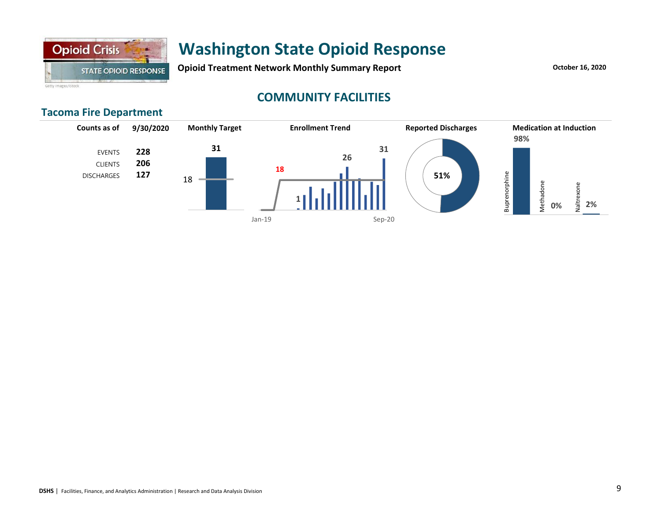

**Opioid Treatment Network Monthly Summary Report CONSCRUPT 2020** *October 16, 2020* 

Getty Images/IStock

## **COMMUNITY FACILITIES**

### **Tacoma Fire Department**

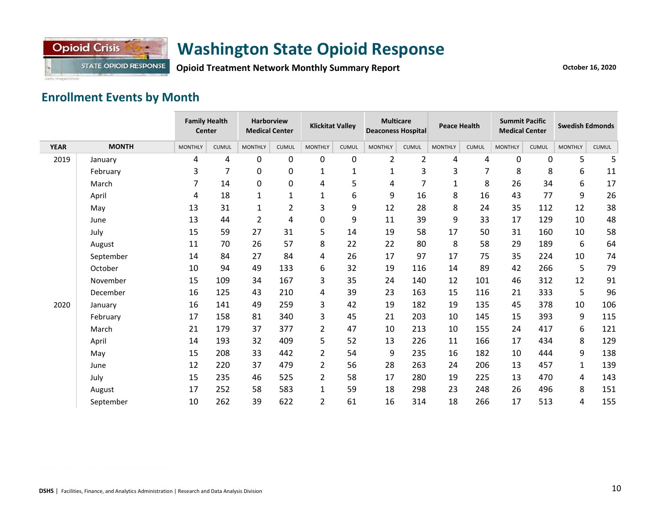

**Opioid Treatment Network Monthly Summary Report**

Getty Images/iStock

## **Enrollment Events by Month**

|             |              | <b>Family Health</b><br>Center |                | <b>Harborview</b><br><b>Klickitat Valley</b><br><b>Medical Center</b> |                | <b>Multicare</b><br><b>Peace Health</b><br><b>Deaconess Hospital</b> |              | <b>Summit Pacific</b><br><b>Medical Center</b> |                | <b>Swedish Edmonds</b> |              |                |              |                |              |
|-------------|--------------|--------------------------------|----------------|-----------------------------------------------------------------------|----------------|----------------------------------------------------------------------|--------------|------------------------------------------------|----------------|------------------------|--------------|----------------|--------------|----------------|--------------|
| <b>YEAR</b> | <b>MONTH</b> | <b>MONTHLY</b>                 | <b>CUMUL</b>   | <b>MONTHLY</b>                                                        | <b>CUMUL</b>   | <b>MONTHLY</b>                                                       | <b>CUMUL</b> | <b>MONTHLY</b>                                 | <b>CUMUL</b>   | <b>MONTHLY</b>         | <b>CUMUL</b> | <b>MONTHLY</b> | <b>CUMUL</b> | <b>MONTHLY</b> | <b>CUMUL</b> |
| 2019        | January      | 4                              | 4              | 0                                                                     | 0              | 0                                                                    | $\mathbf 0$  | $\overline{2}$                                 | $\overline{2}$ | 4                      | 4            | 0              | 0            | 5              | 5            |
|             | February     | 3                              | $\overline{7}$ | 0                                                                     | 0              | 1                                                                    | $\mathbf{1}$ | 1                                              | 3              | 3                      | 7            | 8              | 8            | 6              | 11           |
|             | March        | $\overline{7}$                 | 14             | 0                                                                     | 0              | 4                                                                    | 5            | 4                                              | $\overline{7}$ | 1                      | 8            | 26             | 34           | 6              | 17           |
|             | April        | 4                              | 18             | $\mathbf{1}$                                                          | $\mathbf 1$    | $\mathbf{1}$                                                         | 6            | 9                                              | 16             | 8                      | 16           | 43             | 77           | 9              | 26           |
|             | May          | 13                             | 31             | $\mathbf{1}$                                                          | $\overline{2}$ | 3                                                                    | 9            | 12                                             | 28             | 8                      | 24           | 35             | 112          | 12             | 38           |
|             | June         | 13                             | 44             | $\overline{2}$                                                        | 4              | 0                                                                    | 9            | 11                                             | 39             | 9                      | 33           | 17             | 129          | 10             | 48           |
|             | July         | 15                             | 59             | 27                                                                    | 31             | 5                                                                    | 14           | 19                                             | 58             | 17                     | 50           | 31             | 160          | 10             | 58           |
|             | August       | 11                             | 70             | 26                                                                    | 57             | 8                                                                    | 22           | 22                                             | 80             | 8                      | 58           | 29             | 189          | 6              | 64           |
|             | September    | 14                             | 84             | 27                                                                    | 84             | 4                                                                    | 26           | 17                                             | 97             | 17                     | 75           | 35             | 224          | 10             | 74           |
|             | October      | 10                             | 94             | 49                                                                    | 133            | 6                                                                    | 32           | 19                                             | 116            | 14                     | 89           | 42             | 266          | 5              | 79           |
|             | November     | 15                             | 109            | 34                                                                    | 167            | 3                                                                    | 35           | 24                                             | 140            | 12                     | 101          | 46             | 312          | 12             | 91           |
|             | December     | 16                             | 125            | 43                                                                    | 210            | 4                                                                    | 39           | 23                                             | 163            | 15                     | 116          | 21             | 333          | 5              | 96           |
| 2020        | January      | 16                             | 141            | 49                                                                    | 259            | 3                                                                    | 42           | 19                                             | 182            | 19                     | 135          | 45             | 378          | 10             | 106          |
|             | February     | 17                             | 158            | 81                                                                    | 340            | 3                                                                    | 45           | 21                                             | 203            | 10                     | 145          | 15             | 393          | 9              | 115          |
|             | March        | 21                             | 179            | 37                                                                    | 377            | $\overline{2}$                                                       | 47           | 10                                             | 213            | 10                     | 155          | 24             | 417          | 6              | 121          |
|             | April        | 14                             | 193            | 32                                                                    | 409            | 5                                                                    | 52           | 13                                             | 226            | 11                     | 166          | 17             | 434          | 8              | 129          |
|             | May          | 15                             | 208            | 33                                                                    | 442            | $\overline{2}$                                                       | 54           | 9                                              | 235            | 16                     | 182          | 10             | 444          | 9              | 138          |
|             | June         | 12                             | 220            | 37                                                                    | 479            | $\overline{2}$                                                       | 56           | 28                                             | 263            | 24                     | 206          | 13             | 457          | $\mathbf{1}$   | 139          |
|             | July         | 15                             | 235            | 46                                                                    | 525            | $\overline{2}$                                                       | 58           | 17                                             | 280            | 19                     | 225          | 13             | 470          | 4              | 143          |
|             | August       | 17                             | 252            | 58                                                                    | 583            | $\mathbf{1}$                                                         | 59           | 18                                             | 298            | 23                     | 248          | 26             | 496          | 8              | 151          |
|             | September    | 10                             | 262            | 39                                                                    | 622            | $\overline{2}$                                                       | 61           | 16                                             | 314            | 18                     | 266          | 17             | 513          | 4              | 155          |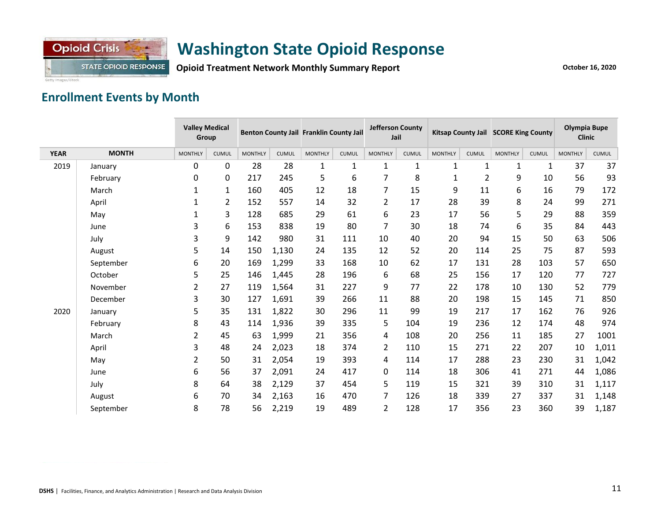

**Opioid Treatment Network Monthly Summary Report**

## **Enrollment Events by Month**

|             |              | <b>Valley Medical</b><br>Group |                | Benton County Jail Franklin County Jail |              | <b>Jefferson County</b><br>Jail |              |                | Kitsap County Jail SCORE King County |                | Olympia Bupe<br><b>Clinic</b> |                |              |                |              |
|-------------|--------------|--------------------------------|----------------|-----------------------------------------|--------------|---------------------------------|--------------|----------------|--------------------------------------|----------------|-------------------------------|----------------|--------------|----------------|--------------|
| <b>YEAR</b> | <b>MONTH</b> | <b>MONTHLY</b>                 | <b>CUMUL</b>   | <b>MONTHLY</b>                          | <b>CUMUL</b> | <b>MONTHLY</b>                  | <b>CUMUL</b> | <b>MONTHLY</b> | <b>CUMUL</b>                         | <b>MONTHLY</b> | <b>CUMUL</b>                  | <b>MONTHLY</b> | <b>CUMUL</b> | <b>MONTHLY</b> | <b>CUMUL</b> |
| 2019        | January      | 0                              | 0              | 28                                      | 28           | $\mathbf{1}$                    | $\mathbf{1}$ | $\mathbf{1}$   | 1                                    | $\mathbf{1}$   | $\mathbf 1$                   | $\mathbf{1}$   | $\mathbf{1}$ | 37             | 37           |
|             | February     | 0                              | 0              | 217                                     | 245          | 5                               | 6            | 7              | 8                                    | 1              | $\overline{2}$                | 9              | 10           | 56             | 93           |
|             | March        | $\mathbf{1}$                   | $\mathbf{1}$   | 160                                     | 405          | 12                              | 18           | $\overline{7}$ | 15                                   | 9              | 11                            | 6              | 16           | 79             | 172          |
|             | April        | $\mathbf{1}$                   | $\overline{2}$ | 152                                     | 557          | 14                              | 32           | $\overline{2}$ | 17                                   | 28             | 39                            | 8              | 24           | 99             | 271          |
|             | May          | 1                              | 3              | 128                                     | 685          | 29                              | 61           | 6              | 23                                   | 17             | 56                            | 5              | 29           | 88             | 359          |
|             | June         | 3                              | 6              | 153                                     | 838          | 19                              | 80           | 7              | 30                                   | 18             | 74                            | 6              | 35           | 84             | 443          |
|             | July         | 3                              | 9              | 142                                     | 980          | 31                              | 111          | 10             | 40                                   | 20             | 94                            | 15             | 50           | 63             | 506          |
|             | August       | 5                              | 14             | 150                                     | 1,130        | 24                              | 135          | 12             | 52                                   | 20             | 114                           | 25             | 75           | 87             | 593          |
|             | September    | 6                              | 20             | 169                                     | 1,299        | 33                              | 168          | 10             | 62                                   | 17             | 131                           | 28             | 103          | 57             | 650          |
|             | October      | 5                              | 25             | 146                                     | 1,445        | 28                              | 196          | 6              | 68                                   | 25             | 156                           | 17             | 120          | 77             | 727          |
|             | November     | $\overline{2}$                 | 27             | 119                                     | 1,564        | 31                              | 227          | 9              | 77                                   | 22             | 178                           | 10             | 130          | 52             | 779          |
|             | December     | 3                              | 30             | 127                                     | 1,691        | 39                              | 266          | 11             | 88                                   | 20             | 198                           | 15             | 145          | 71             | 850          |
| 2020        | January      | 5                              | 35             | 131                                     | 1,822        | 30                              | 296          | 11             | 99                                   | 19             | 217                           | 17             | 162          | 76             | 926          |
|             | February     | 8                              | 43             | 114                                     | 1,936        | 39                              | 335          | 5              | 104                                  | 19             | 236                           | 12             | 174          | 48             | 974          |
|             | March        | $\overline{2}$                 | 45             | 63                                      | 1,999        | 21                              | 356          | 4              | 108                                  | 20             | 256                           | 11             | 185          | 27             | 1001         |
|             | April        | 3                              | 48             | 24                                      | 2,023        | 18                              | 374          | $\mathbf{2}$   | 110                                  | 15             | 271                           | 22             | 207          | 10             | 1,011        |
|             | May          | $\overline{2}$                 | 50             | 31                                      | 2,054        | 19                              | 393          | 4              | 114                                  | 17             | 288                           | 23             | 230          | 31             | 1,042        |
|             | June         | 6                              | 56             | 37                                      | 2,091        | 24                              | 417          | 0              | 114                                  | 18             | 306                           | 41             | 271          | 44             | 1,086        |
|             | July         | 8                              | 64             | 38                                      | 2,129        | 37                              | 454          | 5              | 119                                  | 15             | 321                           | 39             | 310          | 31             | 1,117        |
|             | August       | 6                              | 70             | 34                                      | 2,163        | 16                              | 470          | 7              | 126                                  | 18             | 339                           | 27             | 337          | 31             | 1,148        |
|             | September    | 8                              | 78             | 56                                      | 2,219        | 19                              | 489          | 2              | 128                                  | 17             | 356                           | 23             | 360          | 39             | 1,187        |